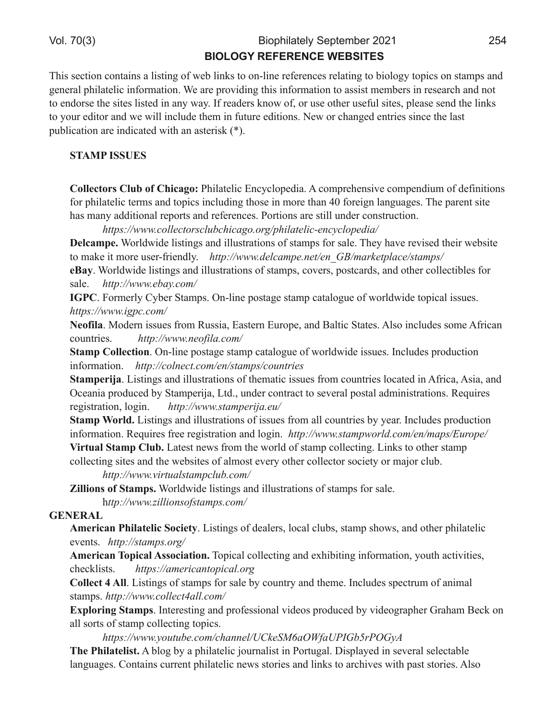) " "  $\#$  \$ #

3EFPPB@QFLK@LKQ>FKP>IFPQFKDLCTB?IFKHPQLLKIFKBOBCBOBK@BPOBI>QFKDQL?FLILDVQLMF@PLKPQ>JMP>KA DBKBO>IMEFI>QBIF@FKCLOJ>QFLK6B>OBMOLSFAFKDQEFPFKCLOJ>QFLKQL>PFPQJBJ?BOPFKOBPB>O@E>KAKLQ QLBKALOPBQEBPFQBPIFPQBAFK>KVT>V(COB>ABOPHKLTLC
LORPBLQEBORPBCRIPFQBP
MIB>PBPBKAQEBIFKHP QLVLROBAFQLO>KATBTFIIFK@IRABQEBJFKCRQROBBAFQFLKP-BTLO@E>KDBABKQOFBPPFK@BQEBI>PQ MR?IF@>QFLK>OBFKAF@>QBATFQE>K>PQBOFPH 

 $+$ , %(! $++-$ +

 @=64D@BC =E3@7 9:428@/EFI>QBIF@\$K@V@ILMBAF> @LJMOBEBKPFSB@LJMBKAFRJLCABCFKFQFLKP CLOMETI>CBIF@DEOIP>KAQLMF@PFK@RAFKDQELPBFKJLOBQE>K CLOBFDKI>KDR>DBP3EBM>OBKQFFGB E>PJ>KV>AAFQFLK>IOBMLOQP>KAOBCBOBK@BP/LOQFLKP>OBPQFIIRKABO@LKPQOR@QFLK

6BBA EEE 1=::31B=@A1:C01671/5==@567./B3:713<1G1:=>327

 6=42>A66LOIATFABIFPQFKDP>KAFIIRPQO>QFLKPLCPQ>JMPCLOP>IB3EBVE>SBOBSFPBAQEBFOTB?PFQB  $Q$  J  $\times$  B FQJ LOBRFBOCOFBKAIV 6EB EEE 23:1/;  $>3$  <3B3<. ; / @93B:/13 AB;  $>$ A

6 21 6 LONT FABIFFORDP-XA FIIRFODOE KPLCFOLJ MP OLSBOP MLFODGAP -XA LOEBO QUIBOORIEPOLO  $P\triangleleft B$   $6B$   $EEE 30/G1 =$ ;

! ( %LOJBOIV"V?BO2Q~JMP. KIFKBMLFQADBFQ~JM@+QHLDRBLCTLOATFABQLMF@+IFFREPP  $6B$ B-A EEE  $75$ - $11$ =;

&6@7=2, LABOKFFFRBPCOLJ 1 RFFF> \$>ROBOK\$ROLMB>KA!>IQF@2QQBP IPLFK@RABPPLJB COF@9K @LRKQOFBP 6B> [EEE <3=47:/ 1=;](http://www.neofila.com/)

+D2>A @=64D:@?. KIFKBMLPQ>DBPQ>JM@>Q>ILDRBLCTLOIATFABFPRBP(K@IRABPMOLAR@QFLK FKCLOJ>QFLK 6B> [1=:<31B 1=;](http://colnect.com/en/stamps/countries) 3< AB/; >A 1=C<B@73A

+D2>A6B:2+FROFXDP>KAFIIRPOQOE.KPLCOEBJ>OF@FFFRBPOOLJ@LRKOOFBPIL@ABAFK COF@3 FF>>KA . @BKF5MOLAR@BA?V2QNJMBOFG\$+QA.RKABO@LKQO\$@QQD,PESBOSIMLPQI>AJFKFPQOQELKP1BNRFOBP OBD FRODOLIK LIDTK 6BB EEE AB; >3028 3C

+D2>A/ @B5 +FROFKDP>KAFIIRPODOELKPLCFFFRBPCOLJ>II@LRK@DBP?VVBO(K@IRABPMOLAR@DELK  $FACG \rtimes EK1B\vee FCBB$   $BDFCQAEK \rtimes KA$  ILD  $K6B$   $EEE/B$ ;  $>E=\mathcal{Q}21$  =;  $3 < ; / > A$   $C\mathcal{Q} > 3$ .:BDE2=+D2>A =E3+>QBPQKBTPQQLJQEBTLOIALCPQNJM@LIB@DFOD+FKHPQLLQEBOPQNJM

@LIIB@QFKDPFQBP>KAQEBTB?PFQBPLC>IJLPQBSBOVLQEBO@LIIB@QLOPL@FBQVLOJ>GLO@IR?

6B> [EEE D7@BC/:AB/;](http://www.virtualstampclub.com/) >1:C0 1=;

1:=:@C@+D2>AC6LONTFABIFFOFOP>KAFIIRFOO OEKPLOFON MPOLOP>IB

EB> [EEE H7::7=<A=4AB/;](http://www.zillionsofstamps.com/) >A 1=;

&\* \$

> 6B:42? (9:=2D6=:4+@1:6DI+FROFADPLCAB>IBOPIL@AI@R?P FOLJMFELTP >KALQEBOMEFF>QBIF@  $BSB\&B\&AB >A = \circledS$ 

>6B:42?,@A:42= CC@4:2D@? 3LMF@H@LIIB@DFXD>KABUEF?FQFKDFKCLOJ>QELK VLRQE>@DGFGDPP @EB@HIFPQP 6B>A /; [3@71/<B=>71/: =@5](https://americantopical.org)

 @=64D =+FPQFKDPLCPQ>JMPCLOP>IB?V@LRKQOV>KAQEBJB(K@IRABPPMB@QORJLC>KFJ>I **PQJ MP 6BB**  $EEE 1 = ::31B/:: 1 =$ ;

HA=@B:?8+D2>AC(KQBOBPQFKD>KAMOLCBPFLK>ISFABLPMOLAR@BA?VSFABLDO>MEBO&O>E>J!B@HLK >IIPLOQPLCPQ>JM@LIIB@QFKDQLMF@P

6BBA EEE G=CBC03 1=; 16/<<3:) 93'! /#+4') \$ 0 @\$# G ,96(9:=2D6=:CD ?ILD?V>MEFI>QBIF@GLROK>IFPQFK/LOQRD>I#FPMI>VBAFKPBSBO>IPBIB@Q>?IB I>KDR>DBP"LKQ>FKP@ROBKQMEFI>QBIF@KBTPPQLOFBP>KAIFKHPQL>O@EFSBPTFQEM>PQPQLOFBP IPL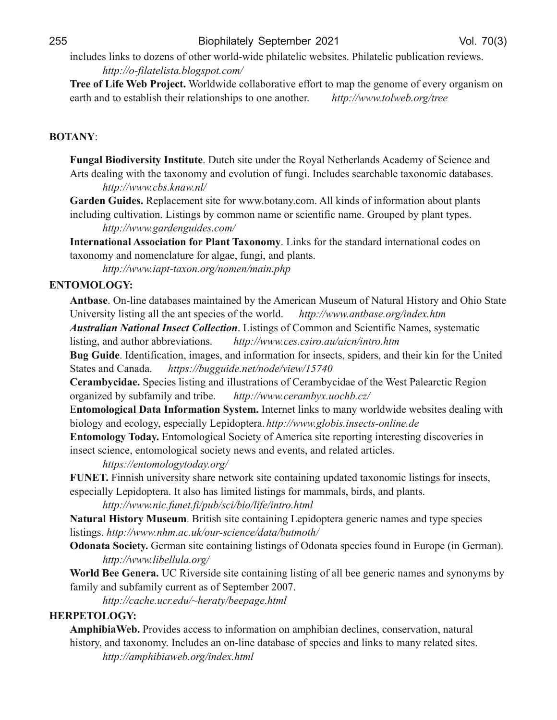## $:AB:3F+7BF$ ? 47D

FK@IRABPIFKHPQLALWBKPLCLQEBOTLOIATFABMEFI>QBIF@TB?PFQBP/EFI>QBIF@MR?IF@>QFLKOBSFBTP  $6B\rightarrow = 47/B$ : 748  $0:=5A\rightarrow B1=$ ;

,B66@7\$:76/ 63(B@;64D6LOIATFAB@LII>?LO>QFSBBCLOQQLJ>MQEBDBKLJBLCBSBOVLOD>KFPJLK B>OQE>KAQLBPQ>?IFFEQEBFOOBI>QEKPEFIMPQLKB>KLQEBO 6BB> EEEB=:E30=@6B233

## ' , &0

E?82=:@5:F6BC:DI!?CD:DED6#RQ@EPFQBRKABOQEB1LV>I-BQEBOI>KAP @>ABJVLC2@FBK@B>KA OQPAB>IFKDTFQEQEBQ>ULKLJV>KABSLIRQFLKLCCRKDF(K@IRABPPB>O@E>?IBQ>ULKLJF@A>Q>?>PBP 6 $\mathbb{B}$  EEE 10A9 $\lt$ / E  $\lt$ :

2B56? E:56C1BMI>@BJBKQFFQBQLOTTT?LQKV@LJ IIHFKAPLCFKQLOJ>QELK>?LRQMI>KQP FK@FAFKD@RIQES>QEK+FRQFKOP?V@LJJLKK>JBLOP@FEKQEF@K>JB&OLRMBA?VM>KQQMABP

6BB EEE 5/ @23<5C723A1=;

!?D6B?2D:@?2= C@4:2D:@?7@B(=2?D,2H@?@>I+FKHPCLOQEBPQ>KA>OAFKQBOK>QFLK>I@LABPLK QULKLJ V XAKLJ BK@ GROBOLO JDB GRADF XAM XOP

6 $\mathbb{B}$  EEE  $7 > B$  F= $\lt = \mathbb{B} \lt =$ ; 3 $lt$ ; / $lt > 6$ 

&,' %' \$' 0

 ?D32C6. KIFKBA>Q>?>PBPJ>FKQ>FKBA?VQEB JBOF@>K, RPBRJLC->QRO>I' FPQLOV>KA. EFL2Q>QB 4KFSBOFFQVIFFOFKD>IIQEB>KQFMB@EPLCQEBTLO0A 6BB> EEE/<B0/A3=@67<23F6B

&\$%# %! \$%!%! +FPQFKDPLC"LJJLK>KA2@FBKQFCF@->JBP
PVPQBJ>QF@ IFPQFKD
>KA>RQELO>??OBSF>QFLKP 6B> [EEE 13A 1A7@= /C](http://www.ces.csiro.au/aicn/intro.htm) /71< 7<B@= 6B;

E8 E:56 (ABKQEF@QELK FJ>DBP>KAFKCLOJ>QELKCLOFKPB@QPPMFABOP>KAQEBEROHFKCLOQEB4KFQBA 2QQBP>KA">K>A> 6BB>A 0C55C723<3B<=23D73E

 6B2>3I4:5262MB@FBPIFPQFKD>KAFIIRPQO>QFLKPLC"BO>J?V@FA>BLCQEB6BPQ/>IB>O@QF@1BDFLK LOD>KFWBA?VFR?GJFTV>KAQOF?B 6BB> EEE13@; 0GFC=1601H

\$?D@>@=@8:42= 2D2!?7@B>2D@?+ICD6> (KQBOKBQIFKHPQLJ>KVTLO1ATFABTB?FFQBPAB>IFKDTFQE ? FLILDV > KA BOLILDV BRING BIIV + BMFALMOROS 6 BB EEE 5:=07A 7< A31 BA =<: 7<323

?D@>@=@8I,@52I\$KQLJLILDF@>I2L@FBQVLC JBOF@>PFQBOBMLOQFKDFKQBOBPQFKDAFP@LSBOFBPFK FKPB@P@BK@BKQULILDF@HPL@BQYKBTP>KABSBKQP>KA@BJQBA>OQR@IBP

 $6B/A$   $3/B$ ;  $=5CB2/C=®$ 

-&,%FKKFPERKFSBOPFQVPE>OBKBQTLOHPFQB@LKQ>FKFKDRMA>QBAQ>ULKLJF@IFPQFKDPCLOFKPB@QP BENBOBIIV+BMPALMOBO (CARL ESPIFJFOBAIFFOFACTOUS) JJ SIP?FOAPSKAMSKOP

6BBB- EEE<714C<3B47> $\times$ 00 A1707=:7437<B@26B;

&2DEB2= :CD@BI%EC6E>!OFQFPEPFQB@LKQ>FKFKD+BMFALMQBO>DBKBOF@K>JBP>KAQVMBPMB@FBP  $IIFQFQP 6BB$   $EEE < 6$ ;  $/1$  C9  $=$ C@A173 $<$ 13 2/ B 0CB  $=$ B6

 $'$  5@2D2+@ $:6$ DI&BOJ $\times$ RFGBI@KQFKFKDIFROFKDPLC. ALK>QPMB@EPOLRKAFK\$ROLMBFK&BOJ $\times$ K 6 $\mathbb{B}$  EEE : 703:: $C/ = \mathbb{S}$ 

/ @B=566 6?6B24"1FSBOPFABPFQB@LKQ>FKFKDIFPQFKDLC>II?BDBKBOF@K>JBP>KAPVKLKVJP?V C>JFIV>KAPR?C>JFIV@ROBKQ>PLC2BMQBJ?BO

6BB- 1/163 C1@ 22CI63@ BG033>/53 6B:

 $*( , ' \$ ' 0)

 >A9:3:2/ 63/OLSFABP>@BPQLFKCLOJ>QFLKLK>JMEF?F>KAB@IFKBP
@LKPBOS>QFLK
K>QRO>I EFPQLOV
>KAQ>ULKLJV(K@IRABP>KLKIFKBA>Q>?>PBLCPMB@FBP>KAIFKHPQLJ>KVOBI>QBAPFQBP 6BB>  $\frac{1}{5}$  >6707 E30 = @67  $\times$ 23F 6B :